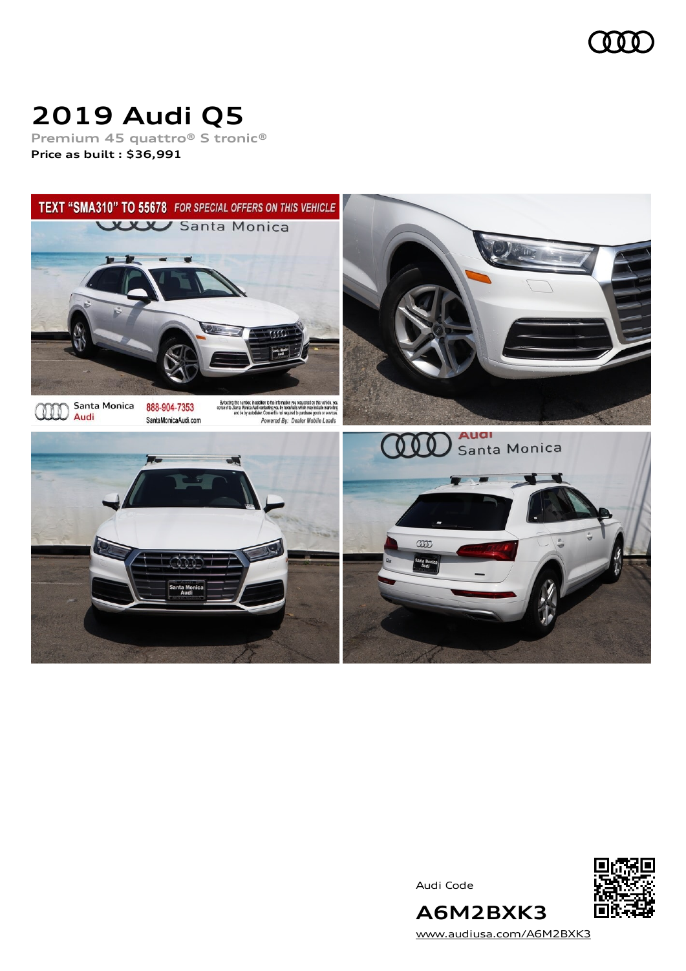

# **2019 Audi Q5**

**Premium 45 quattro® S tronic® Price as built [:](#page-10-0) \$36,991**



Audi Code



[www.audiusa.com/A6M2BXK3](https://www.audiusa.com/A6M2BXK3)

**A6M2BXK3**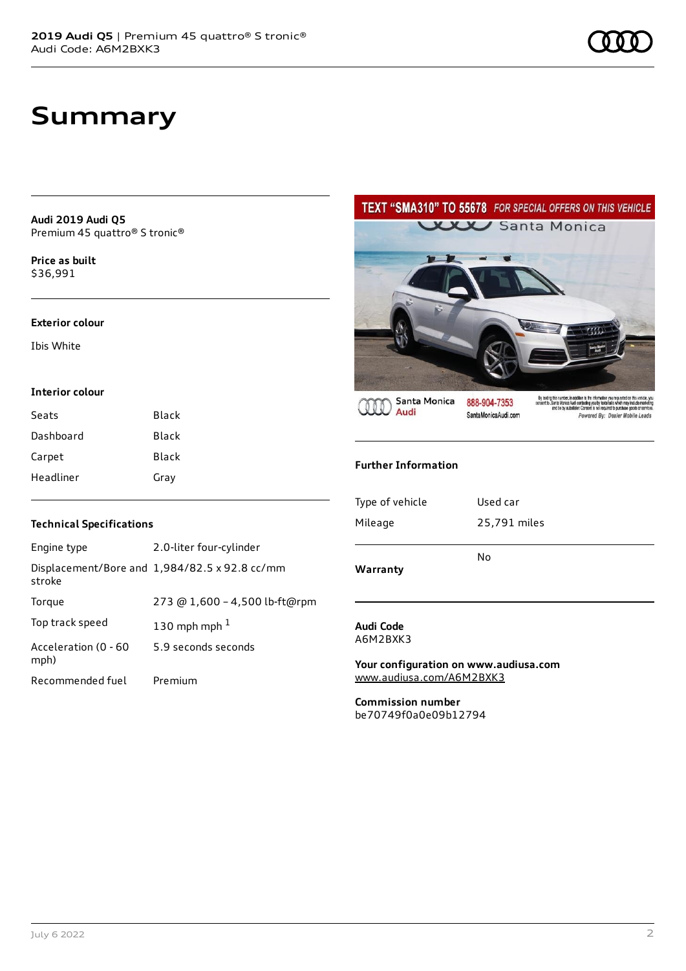### **Summary**

**Audi 2019 Audi Q5** Premium 45 quattro® S tronic®

**Price as buil[t](#page-10-0)** \$36,991

#### **Exterior colour**

Ibis White

#### **Interior colour**

| Seats     | Black |
|-----------|-------|
| Dashboard | Black |
| Carpet    | Black |
| Headliner | Gray  |

TEXT "SMA310" TO 55678 FOR SPECIAL OFFERS ON THIS VEHICLE **WWW Santa Monica** 

**Santa Monica** Audi

888-904-7353 SantaMonicaAudi.com

By lacting this number, in addition to the information you requested on this vehicle, you consent to .<br>Senta Movice Audi contacting you by tends tail which may include marketing<br>and be by autodiatier. Consent is not requi

#### **Further Information**

| Warranty        | No           |
|-----------------|--------------|
|                 |              |
| Mileage         | 25,791 miles |
|                 |              |
| Type of vehicle | Used car     |
|                 |              |

#### **Audi Code** A6M2BXK3

**Your configuration on www.audiusa.com** [www.audiusa.com/A6M2BXK3](https://www.audiusa.com/A6M2BXK3)

**Commission number** be70749f0a0e09b12794

#### **Technical Specifications**

| Engine type                  | 2.0-liter four-cylinder                       |
|------------------------------|-----------------------------------------------|
| stroke                       | Displacement/Bore and 1,984/82.5 x 92.8 cc/mm |
| Torque                       | 273 @ 1,600 - 4,500 lb-ft@rpm                 |
| Top track speed              | 130 mph mph $1$                               |
| Acceleration (0 - 60<br>mph) | 5.9 seconds seconds                           |
| Recommended fuel             | Premium                                       |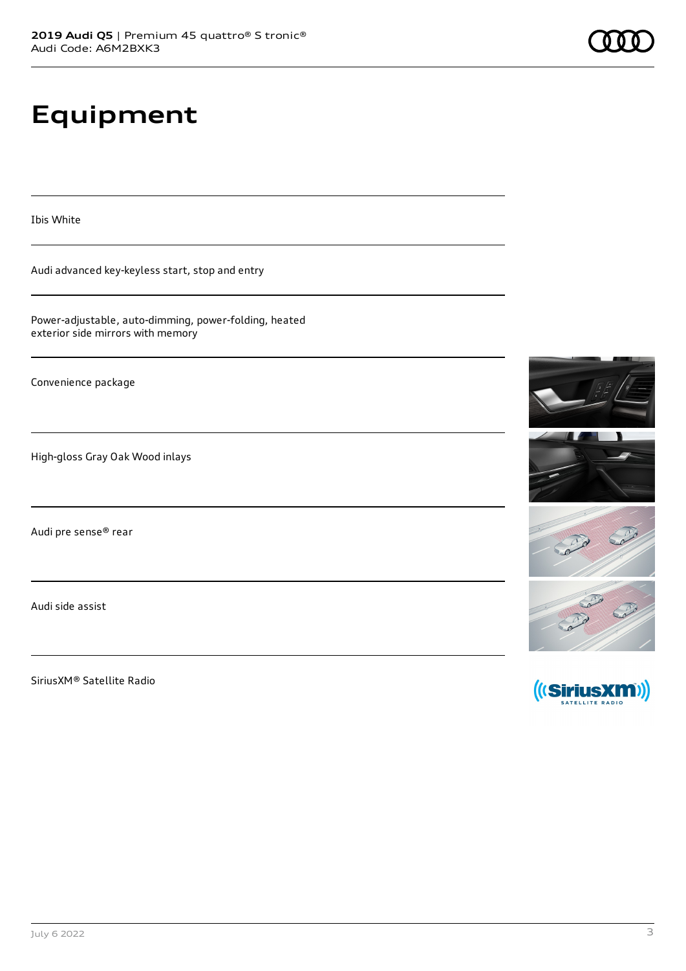## **Equipment**

Ibis White

Audi advanced key-keyless start, stop and entry

Power-adjustable, auto-dimming, power-folding, heated exterior side mirrors with memory

Convenience package

High-gloss Gray Oak Wood inlays

Audi pre sense® rear

Audi side assist

SiriusXM® Satellite Radio







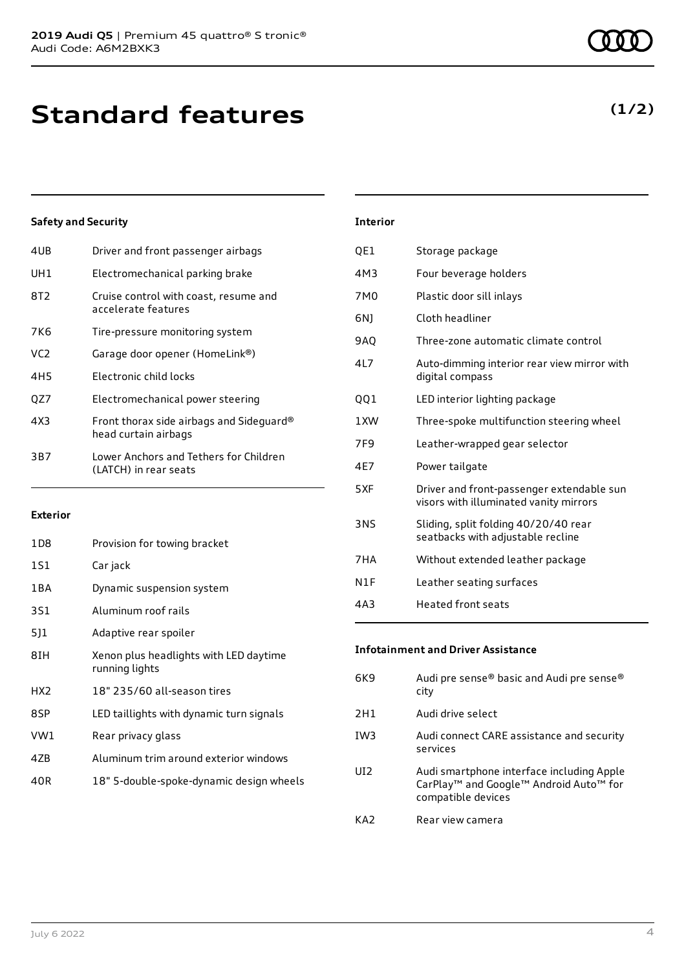| 4UB | Driver and front passenger airbags                               |
|-----|------------------------------------------------------------------|
| UH1 | Electromechanical parking brake                                  |
| 8T2 | Cruise control with coast, resume and<br>accelerate features     |
| 7K6 | Tire-pressure monitoring system                                  |
| VC2 | Garage door opener (HomeLink®)                                   |
| 4H5 | Electronic child locks                                           |
| OZ7 | Electromechanical power steering                                 |
| 4X3 | Front thorax side airbags and Sideguard®<br>head curtain airbags |
| 3B7 | Lower Anchors and Tethers for Children<br>(LATCH) in rear seats  |
|     |                                                                  |

#### **Exterior**

| 1D8             | Provision for towing bracket                             |
|-----------------|----------------------------------------------------------|
| 1S1             | Car jack                                                 |
| 1 B A           | Dynamic suspension system                                |
| 3S1             | Aluminum roof rails                                      |
| 511             | Adaptive rear spoiler                                    |
| 8IH             | Xenon plus headlights with LED daytime<br>running lights |
| HX <sub>2</sub> | 18" 235/60 all-season tires                              |
| 8SP             | LED taillights with dynamic turn signals                 |
| VW1             | Rear privacy glass                                       |
| 4ZB             | Aluminum trim around exterior windows                    |
| 40R             | 18" 5-double-spoke-dynamic design wheels                 |

| <b>Interior</b> |                                                                                     |
|-----------------|-------------------------------------------------------------------------------------|
| QE1             | Storage package                                                                     |
| 4M3             | Four beverage holders                                                               |
| 7M0             | Plastic door sill inlays                                                            |
| 6N1             | Cloth headliner                                                                     |
| <b>9AO</b>      | Three-zone automatic climate control                                                |
| 4L7             | Auto-dimming interior rear view mirror with<br>digital compass                      |
| QQ1             | LED interior lighting package                                                       |
| 1 XW            | Three-spoke multifunction steering wheel                                            |
| 7F9             | Leather-wrapped gear selector                                                       |
| 4E7             | Power tailgate                                                                      |
| 5XF             | Driver and front-passenger extendable sun<br>visors with illuminated vanity mirrors |
| <b>3NS</b>      | Sliding, split folding 40/20/40 rear<br>seatbacks with adjustable recline           |
| 7HA             | Without extended leather package                                                    |
| N1F             | Leather seating surfaces                                                            |
|                 |                                                                                     |

| 4A3 | Heated front seats |
|-----|--------------------|
|     |                    |

### **Infotainment and Driver Assistance**

| 6K9             | Audi pre sense® basic and Audi pre sense®<br>city                                                                                             |
|-----------------|-----------------------------------------------------------------------------------------------------------------------------------------------|
| 2H1             | Audi drive select                                                                                                                             |
| IW <sub>3</sub> | Audi connect CARE assistance and security<br>services                                                                                         |
| UI <sub>2</sub> | Audi smartphone interface including Apple<br>CarPlay <sup>™</sup> and Google <sup>™</sup> Android Auto <sup>™</sup> for<br>compatible devices |
| KA <sub>2</sub> | Rear view camera                                                                                                                              |

### **(1/2)**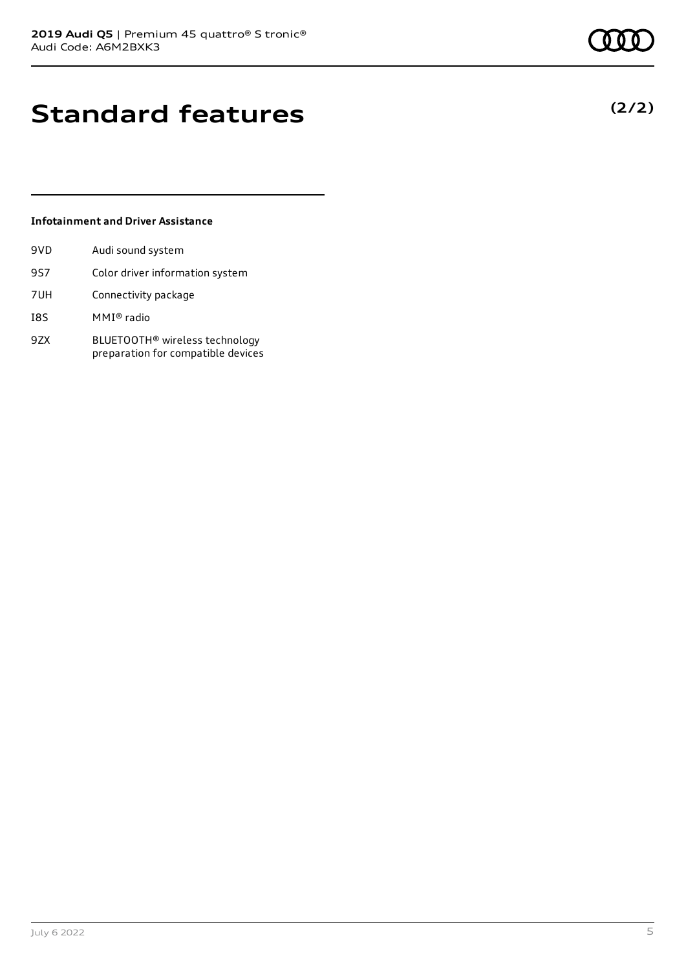### **Standard features**

#### **Infotainment and Driver Assistance**

| 9VD        | Audi sound system                                                                |
|------------|----------------------------------------------------------------------------------|
| 9S7        | Color driver information system                                                  |
| 7UH        | Connectivity package                                                             |
| <b>I8S</b> | MMI® radio                                                                       |
| 9ZX        | BLUETOOTH <sup>®</sup> wireless technology<br>preparation for compatible devices |

July 6 2022 5



**(2/2)**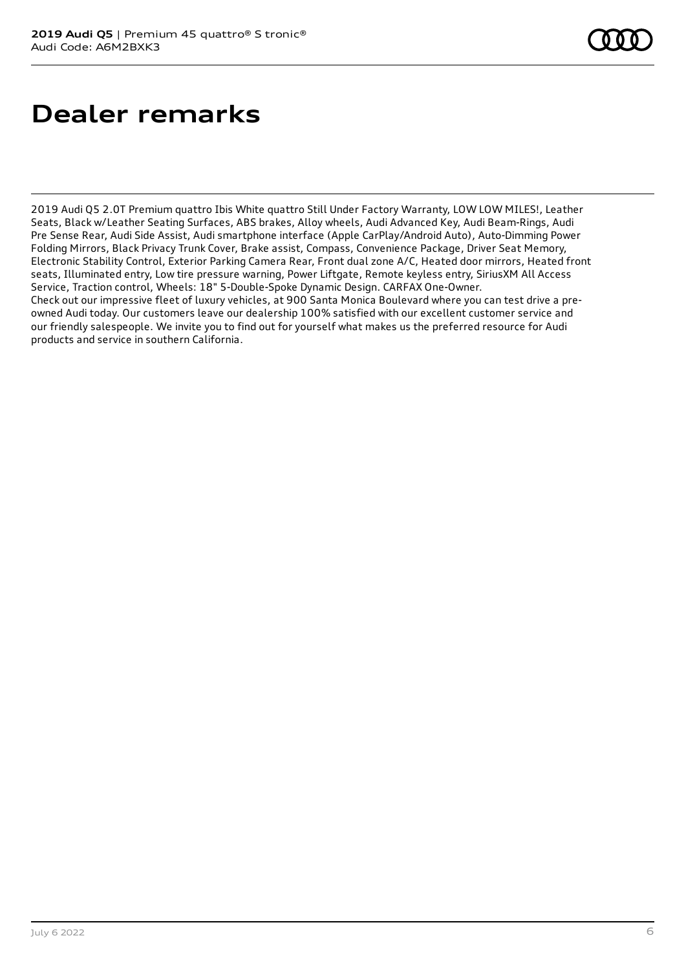# **Dealer remarks**

2019 Audi Q5 2.0T Premium quattro Ibis White quattro Still Under Factory Warranty, LOW LOW MILES!, Leather Seats, Black w/Leather Seating Surfaces, ABS brakes, Alloy wheels, Audi Advanced Key, Audi Beam-Rings, Audi Pre Sense Rear, Audi Side Assist, Audi smartphone interface (Apple CarPlay/Android Auto), Auto-Dimming Power Folding Mirrors, Black Privacy Trunk Cover, Brake assist, Compass, Convenience Package, Driver Seat Memory, Electronic Stability Control, Exterior Parking Camera Rear, Front dual zone A/C, Heated door mirrors, Heated front seats, Illuminated entry, Low tire pressure warning, Power Liftgate, Remote keyless entry, SiriusXM All Access Service, Traction control, Wheels: 18" 5-Double-Spoke Dynamic Design. CARFAX One-Owner.

Check out our impressive fleet of luxury vehicles, at 900 Santa Monica Boulevard where you can test drive a preowned Audi today. Our customers leave our dealership 100% satisfied with our excellent customer service and our friendly salespeople. We invite you to find out for yourself what makes us the preferred resource for Audi products and service in southern California.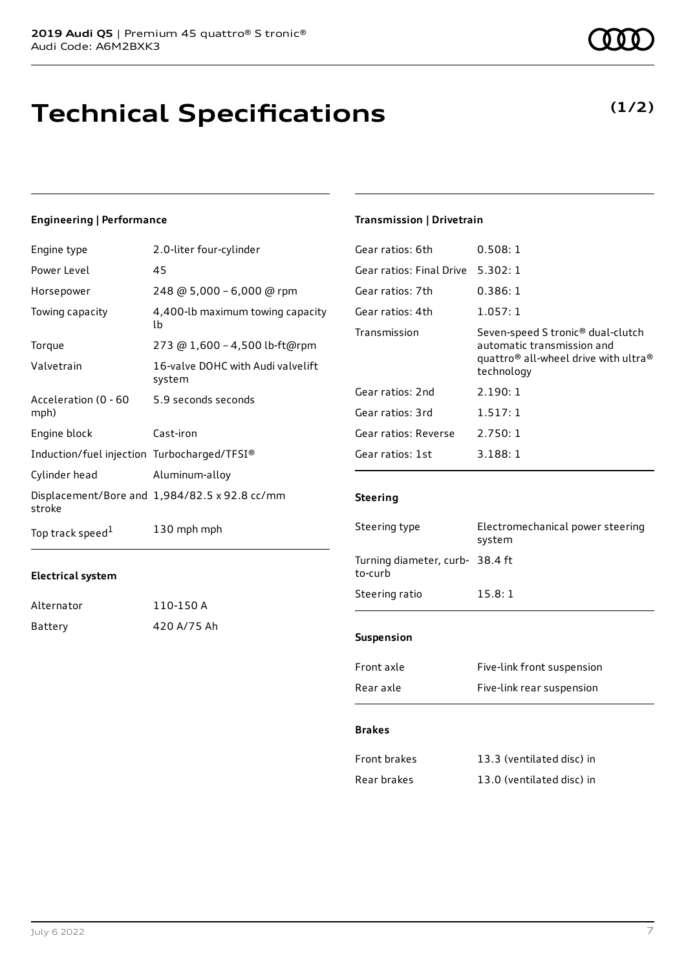### **Technical Specifications**

#### **Engineering | Performance**

| Engine type                                 | 2.0-liter four-cylinder                       |
|---------------------------------------------|-----------------------------------------------|
| Power Level                                 | 45                                            |
| Horsepower                                  | 248 @ 5,000 - 6,000 @ rpm                     |
| Towing capacity                             | 4,400-lb maximum towing capacity<br>lb        |
| Torque                                      | 273 @ 1,600 - 4,500 lb-ft@rpm                 |
| Valvetrain                                  | 16-valve DOHC with Audi valvelift<br>system   |
| Acceleration (0 - 60<br>mph)                | 5.9 seconds seconds                           |
| Engine block                                | Cast-iron                                     |
| Induction/fuel injection Turbocharged/TFSI® |                                               |
| Cylinder head                               | Aluminum-alloy                                |
| stroke                                      | Displacement/Bore and 1,984/82.5 x 92.8 cc/mm |
| Top track speed <sup>1</sup>                | 130 mph mph                                   |

#### **Electrical system**

| Alternator | 110-150 A   |
|------------|-------------|
| Battery    | 420 A/75 Ah |

#### **Transmission | Drivetrain**

| Gear ratios: 6th         | 0.508:1                                                                                                                                                   |
|--------------------------|-----------------------------------------------------------------------------------------------------------------------------------------------------------|
| Gear ratios: Final Drive | 5.302:1                                                                                                                                                   |
| Gear ratios: 7th         | 0.386:1                                                                                                                                                   |
| Gear ratios: 4th         | 1.057:1                                                                                                                                                   |
| Transmission             | Seven-speed S tronic <sup>®</sup> dual-clutch<br>automatic transmission and<br>quattro <sup>®</sup> all-wheel drive with ultra <sup>®</sup><br>technology |
| Gear ratios: 2nd         | 2.190:1                                                                                                                                                   |
| Gear ratios: 3rd         | 1.517:1                                                                                                                                                   |
| Gear ratios: Reverse     | 2.750:1                                                                                                                                                   |
| Gear ratios: 1st         | 3.188:1                                                                                                                                                   |
|                          |                                                                                                                                                           |

#### **Steering**

| Steering type                              | Electromechanical power steering<br>system |  |
|--------------------------------------------|--------------------------------------------|--|
| Turning diameter, curb- 38.4 ft<br>to-curb |                                            |  |
| Steering ratio                             | 15.8:1                                     |  |
|                                            |                                            |  |
| <b>Suspension</b>                          |                                            |  |
| Front axle                                 | Five-link front suspension                 |  |
| Rear axle                                  | Five-link rear suspension                  |  |

#### **Brakes**

| Front brakes | 13.3 (ventilated disc) in |
|--------------|---------------------------|
| Rear brakes  | 13.0 (ventilated disc) in |

### **(1/2)**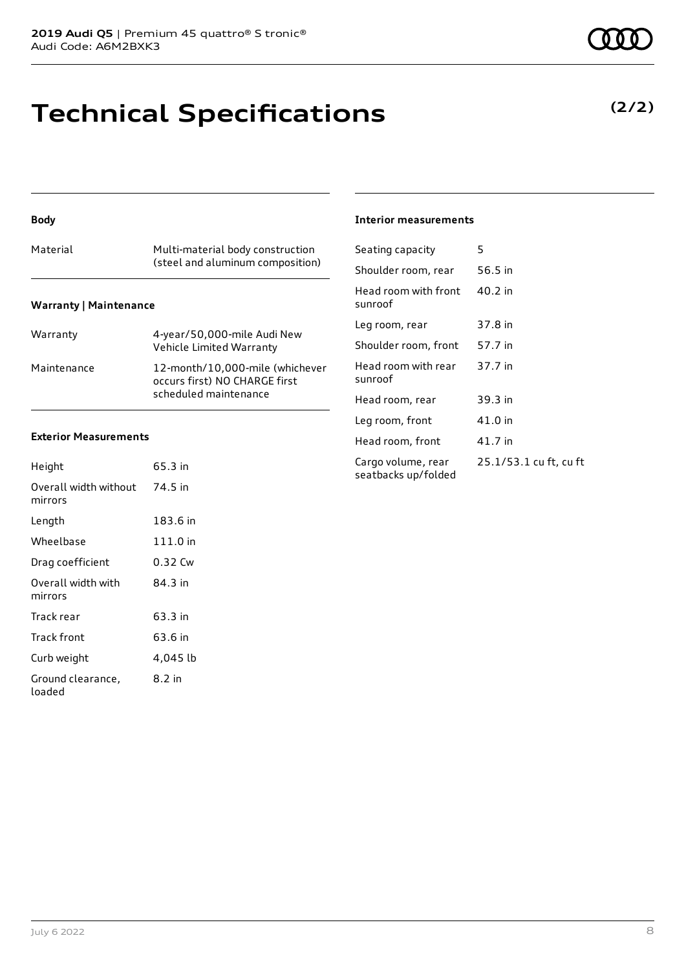### **Technical Specifications**

#### **Body**

| Material                      | Multi-material body construction<br>(steel and aluminum composition) |
|-------------------------------|----------------------------------------------------------------------|
| <b>Warranty   Maintenance</b> |                                                                      |

| Warranty    | 4-year/50,000-mile Audi New<br>Vehicle Limited Warranty                                   |
|-------------|-------------------------------------------------------------------------------------------|
| Maintenance | 12-month/10,000-mile (whichever<br>occurs first) NO CHARGE first<br>scheduled maintenance |

#### **Exterior Measurements**

| Height                           | 65.3 in  |
|----------------------------------|----------|
| Overall width without<br>mirrors | 74.5 in  |
| Length                           | 183.6 in |
| Wheelbase                        | 111.0 in |
| Drag coefficient                 | 0.32 Cw  |
| Overall width with<br>mirrors    | 84.3 in  |
| Track rear                       | 63.3 in  |
| Track front                      | 63.6 in  |
| Curb weight                      | 4,045 lb |
| Ground clearance,<br>loaded      | 8.2 in   |

#### **Interior measurements**

| Seating capacity                          | 5                      |
|-------------------------------------------|------------------------|
| Shoulder room, rear                       | 56.5 in                |
| Head room with front<br>sunroof           | 40.2 in                |
| Leg room, rear                            | 37.8 in                |
| Shoulder room, front                      | 57.7 in                |
| Head room with rear<br>sunroof            | 37.7 in                |
| Head room, rear                           | 39.3 in                |
| Leg room, front                           | 41.0 in                |
| Head room, front                          | 41.7 in                |
| Cargo volume, rear<br>seatbacks up/folded | 25.1/53.1 cu ft, cu ft |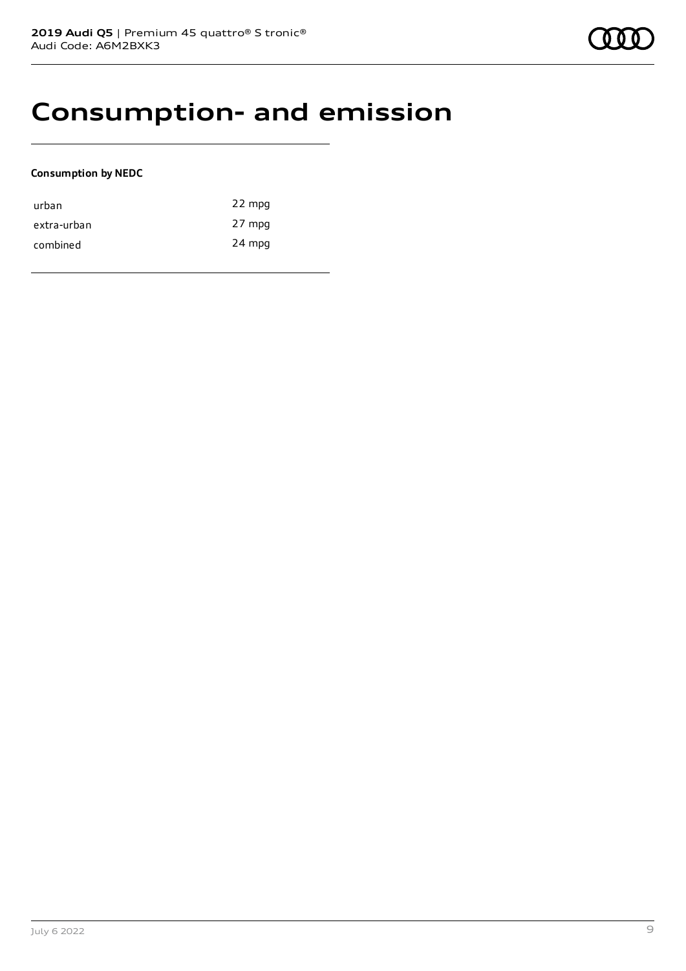### **Consumption- and emission**

#### **Consumption by NEDC**

| urban       | 22 mpg |
|-------------|--------|
| extra-urban | 27 mpg |
| combined    | 24 mpg |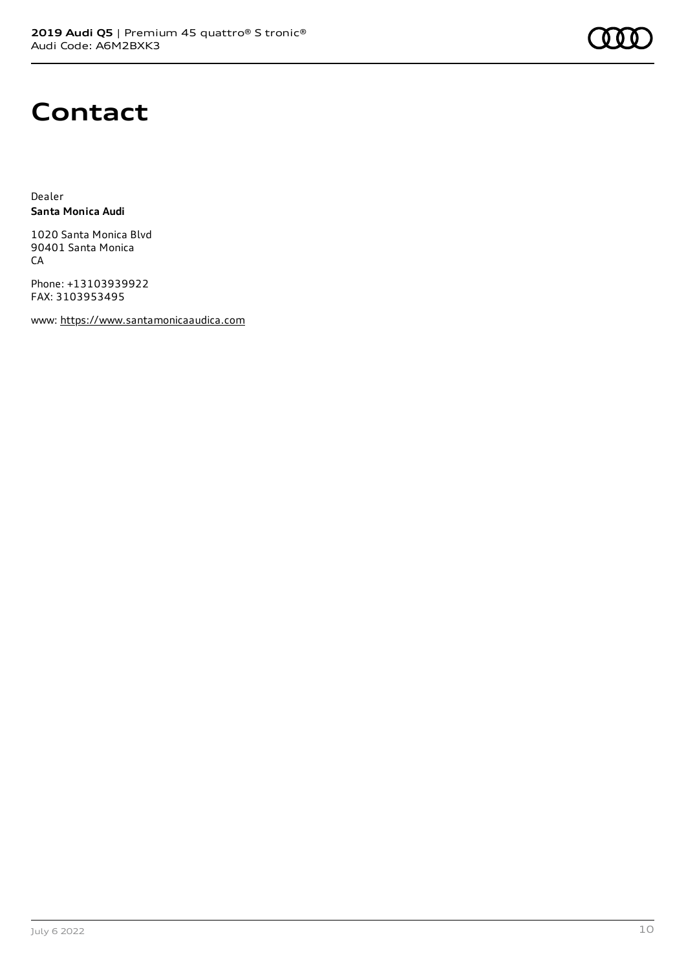

### **Contact**

Dealer **Santa Monica Audi**

1020 Santa Monica Blvd 90401 Santa Monica **CA** 

Phone: +13103939922 FAX: 3103953495

www: [https://www.santamonicaaudica.com](https://www.santamonicaaudica.com/)